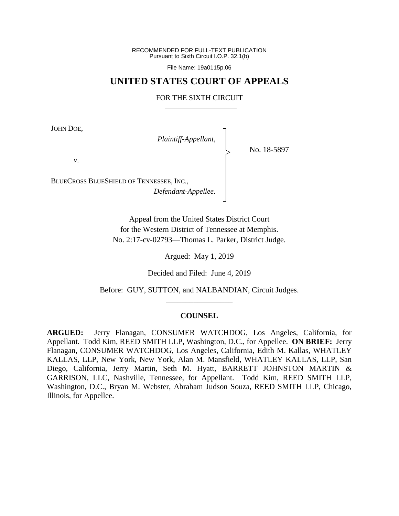RECOMMENDED FOR FULL-TEXT PUBLICATION Pursuant to Sixth Circuit I.O.P. 32.1(b)

File Name: 19a0115p.06

## **UNITED STATES COURT OF APPEALS**

## FOR THE SIXTH CIRCUIT

┐ │ │ │ │ │ │ │ ┘

|<br>|<br>|

JOHN DOE,

*Plaintiff-Appellant*,

No. 18-5897

*v*.

BLUECROSS BLUESHIELD OF TENNESSEE, INC., *Defendant-Appellee*.

> Appeal from the United States District Court for the Western District of Tennessee at Memphis. No. 2:17-cv-02793—Thomas L. Parker, District Judge.

> > Argued: May 1, 2019

Decided and Filed: June 4, 2019

Before: GUY, SUTTON, and NALBANDIAN, Circuit Judges. \_\_\_\_\_\_\_\_\_\_\_\_\_\_\_\_\_

## **COUNSEL**

**ARGUED:** Jerry Flanagan, CONSUMER WATCHDOG, Los Angeles, California, for Appellant. Todd Kim, REED SMITH LLP, Washington, D.C., for Appellee. **ON BRIEF:** Jerry Flanagan, CONSUMER WATCHDOG, Los Angeles, California, Edith M. Kallas, WHATLEY KALLAS, LLP, New York, New York, Alan M. Mansfield, WHATLEY KALLAS, LLP, San Diego, California, Jerry Martin, Seth M. Hyatt, BARRETT JOHNSTON MARTIN & GARRISON, LLC, Nashville, Tennessee, for Appellant. Todd Kim, REED SMITH LLP, Washington, D.C., Bryan M. Webster, Abraham Judson Souza, REED SMITH LLP, Chicago, Illinois, for Appellee.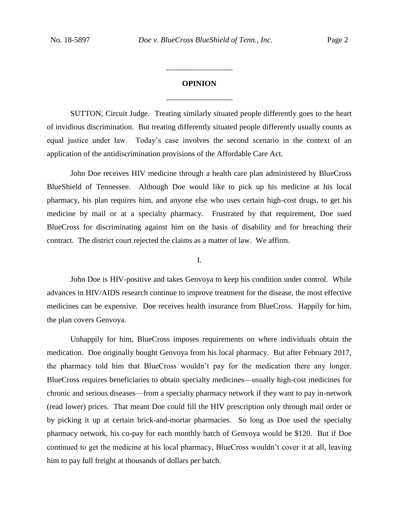## **OPINION** \_\_\_\_\_\_\_\_\_\_\_\_\_\_\_\_\_

\_\_\_\_\_\_\_\_\_\_\_\_\_\_\_\_\_

SUTTON, Circuit Judge. Treating similarly situated people differently goes to the heart of invidious discrimination. But treating differently situated people differently usually counts as equal justice under law. Today's case involves the second scenario in the context of an application of the antidiscrimination provisions of the Affordable Care Act.

John Doe receives HIV medicine through a health care plan administered by BlueCross BlueShield of Tennessee. Although Doe would like to pick up his medicine at his local pharmacy, his plan requires him, and anyone else who uses certain high-cost drugs, to get his medicine by mail or at a specialty pharmacy. Frustrated by that requirement, Doe sued BlueCross for discriminating against him on the basis of disability and for breaching their contract. The district court rejected the claims as a matter of law. We affirm.

I.

John Doe is HIV-positive and takes Genvoya to keep his condition under control. While advances in HIV/AIDS research continue to improve treatment for the disease, the most effective medicines can be expensive. Doe receives health insurance from BlueCross. Happily for him, the plan covers Genvoya.

Unhappily for him, BlueCross imposes requirements on where individuals obtain the medication. Doe originally bought Genvoya from his local pharmacy. But after February 2017, the pharmacy told him that BlueCross wouldn't pay for the medication there any longer. BlueCross requires beneficiaries to obtain specialty medicines—usually high-cost medicines for chronic and serious diseases—from a specialty pharmacy network if they want to pay in-network (read lower) prices. That meant Doe could fill the HIV prescription only through mail order or by picking it up at certain brick-and-mortar pharmacies. So long as Doe used the specialty pharmacy network, his co-pay for each monthly batch of Genvoya would be \$120. But if Doe continued to get the medicine at his local pharmacy, BlueCross wouldn't cover it at all, leaving him to pay full freight at thousands of dollars per batch.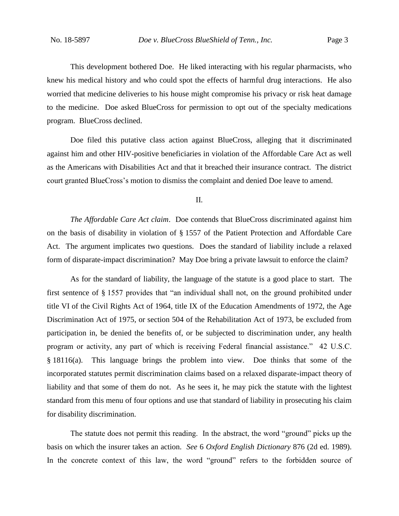This development bothered Doe. He liked interacting with his regular pharmacists, who knew his medical history and who could spot the effects of harmful drug interactions. He also worried that medicine deliveries to his house might compromise his privacy or risk heat damage to the medicine. Doe asked BlueCross for permission to opt out of the specialty medications program. BlueCross declined.

Doe filed this putative class action against BlueCross, alleging that it discriminated against him and other HIV-positive beneficiaries in violation of the Affordable Care Act as well as the Americans with Disabilities Act and that it breached their insurance contract. The district court granted BlueCross's motion to dismiss the complaint and denied Doe leave to amend.

II.

*The Affordable Care Act claim*. Doe contends that BlueCross discriminated against him on the basis of disability in violation of § 1557 of the Patient Protection and Affordable Care Act. The argument implicates two questions. Does the standard of liability include a relaxed form of disparate-impact discrimination? May Doe bring a private lawsuit to enforce the claim?

As for the standard of liability, the language of the statute is a good place to start. The first sentence of § 1557 provides that "an individual shall not, on the ground prohibited under title VI of the Civil Rights Act of 1964, title IX of the Education Amendments of 1972, the Age Discrimination Act of 1975, or section 504 of the Rehabilitation Act of 1973, be excluded from participation in, be denied the benefits of, or be subjected to discrimination under, any health program or activity, any part of which is receiving Federal financial assistance." 42 U.S.C. § 18116(a). This language brings the problem into view. Doe thinks that some of the incorporated statutes permit discrimination claims based on a relaxed disparate-impact theory of liability and that some of them do not. As he sees it, he may pick the statute with the lightest standard from this menu of four options and use that standard of liability in prosecuting his claim for disability discrimination.

The statute does not permit this reading. In the abstract, the word "ground" picks up the basis on which the insurer takes an action. *See* 6 *Oxford English Dictionary* 876 (2d ed. 1989). In the concrete context of this law, the word "ground" refers to the forbidden source of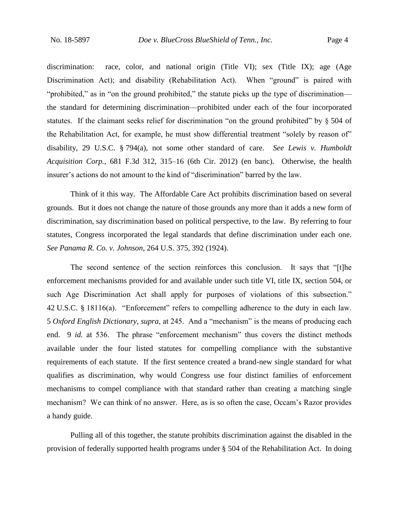discrimination: race, color, and national origin (Title VI); sex (Title IX); age (Age Discrimination Act); and disability (Rehabilitation Act). When "ground" is paired with "prohibited," as in "on the ground prohibited," the statute picks up the type of discrimination the standard for determining discrimination—prohibited under each of the four incorporated statutes. If the claimant seeks relief for discrimination "on the ground prohibited" by § 504 of the Rehabilitation Act, for example, he must show differential treatment "solely by reason of" disability, 29 U.S.C. § 794(a), not some other standard of care. *See Lewis v. Humboldt Acquisition Corp.*, 681 F.3d 312, 315–16 (6th Cir. 2012) (en banc). Otherwise, the health insurer's actions do not amount to the kind of "discrimination" barred by the law.

Think of it this way. The Affordable Care Act prohibits discrimination based on several grounds. But it does not change the nature of those grounds any more than it adds a new form of discrimination, say discrimination based on political perspective, to the law. By referring to four statutes, Congress incorporated the legal standards that define discrimination under each one. *See Panama R. Co. v. Johnson*, 264 U.S. 375, 392 (1924).

The second sentence of the section reinforces this conclusion. It says that "[t]he enforcement mechanisms provided for and available under such title VI, title IX, section 504, or such Age Discrimination Act shall apply for purposes of violations of this subsection." 42 U.S.C. § 18116(a). "Enforcement" refers to compelling adherence to the duty in each law. 5 *Oxford English Dictionary*, *supra*, at 245. And a "mechanism" is the means of producing each end. 9 *id.* at 536. The phrase "enforcement mechanism" thus covers the distinct methods available under the four listed statutes for compelling compliance with the substantive requirements of each statute. If the first sentence created a brand-new single standard for what qualifies as discrimination, why would Congress use four distinct families of enforcement mechanisms to compel compliance with that standard rather than creating a matching single mechanism? We can think of no answer. Here, as is so often the case, Occam's Razor provides a handy guide.

Pulling all of this together, the statute prohibits discrimination against the disabled in the provision of federally supported health programs under § 504 of the Rehabilitation Act. In doing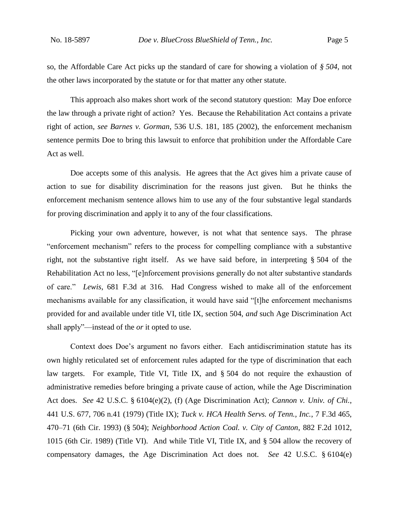so, the Affordable Care Act picks up the standard of care for showing a violation of *§ 504*, not the other laws incorporated by the statute or for that matter any other statute.

This approach also makes short work of the second statutory question: May Doe enforce the law through a private right of action? Yes. Because the Rehabilitation Act contains a private right of action, *see Barnes v. Gorman*, 536 U.S. 181, 185 (2002), the enforcement mechanism sentence permits Doe to bring this lawsuit to enforce that prohibition under the Affordable Care Act as well.

Doe accepts some of this analysis. He agrees that the Act gives him a private cause of action to sue for disability discrimination for the reasons just given. But he thinks the enforcement mechanism sentence allows him to use any of the four substantive legal standards for proving discrimination and apply it to any of the four classifications.

Picking your own adventure, however, is not what that sentence says. The phrase "enforcement mechanism" refers to the process for compelling compliance with a substantive right, not the substantive right itself. As we have said before, in interpreting § 504 of the Rehabilitation Act no less, "[e]nforcement provisions generally do not alter substantive standards of care." *Lewis*, 681 F.3d at 316. Had Congress wished to make all of the enforcement mechanisms available for any classification, it would have said "[t]he enforcement mechanisms provided for and available under title VI, title IX, section 504, *and* such Age Discrimination Act shall apply"—instead of the *or* it opted to use.

Context does Doe's argument no favors either. Each antidiscrimination statute has its own highly reticulated set of enforcement rules adapted for the type of discrimination that each law targets. For example, Title VI, Title IX, and § 504 do not require the exhaustion of administrative remedies before bringing a private cause of action, while the Age Discrimination Act does. *See* 42 U.S.C. § 6104(e)(2), (f) (Age Discrimination Act); *Cannon v. Univ. of Chi.*, 441 U.S. 677, 706 n.41 (1979) (Title IX); *Tuck v. HCA Health Servs. of Tenn., Inc.*, 7 F.3d 465, 470–71 (6th Cir. 1993) (§ 504); *Neighborhood Action Coal. v. City of Canton*, 882 F.2d 1012, 1015 (6th Cir. 1989) (Title VI). And while Title VI, Title IX, and § 504 allow the recovery of compensatory damages, the Age Discrimination Act does not. *See* 42 U.S.C. § 6104(e)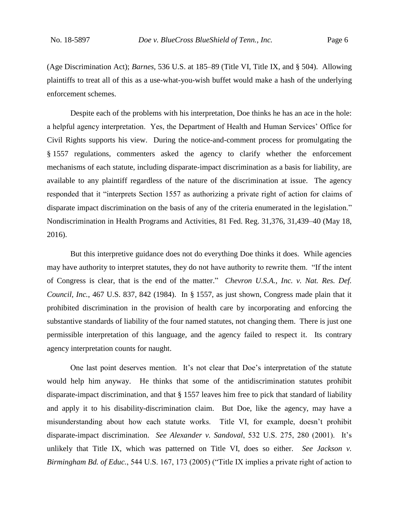(Age Discrimination Act); *Barnes*, 536 U.S. at 185–89 (Title VI, Title IX, and § 504). Allowing plaintiffs to treat all of this as a use-what-you-wish buffet would make a hash of the underlying enforcement schemes.

Despite each of the problems with his interpretation, Doe thinks he has an ace in the hole: a helpful agency interpretation. Yes, the Department of Health and Human Services' Office for Civil Rights supports his view. During the notice-and-comment process for promulgating the § 1557 regulations, commenters asked the agency to clarify whether the enforcement mechanisms of each statute, including disparate-impact discrimination as a basis for liability, are available to any plaintiff regardless of the nature of the discrimination at issue. The agency responded that it "interprets Section 1557 as authorizing a private right of action for claims of disparate impact discrimination on the basis of any of the criteria enumerated in the legislation." Nondiscrimination in Health Programs and Activities, 81 Fed. Reg. 31,376, 31,439–40 (May 18, 2016).

But this interpretive guidance does not do everything Doe thinks it does. While agencies may have authority to interpret statutes, they do not have authority to rewrite them. "If the intent of Congress is clear, that is the end of the matter." *Chevron U.S.A., Inc. v. Nat. Res. Def. Council, Inc.*, 467 U.S. 837, 842 (1984). In § 1557, as just shown, Congress made plain that it prohibited discrimination in the provision of health care by incorporating and enforcing the substantive standards of liability of the four named statutes, not changing them. There is just one permissible interpretation of this language, and the agency failed to respect it. Its contrary agency interpretation counts for naught.

One last point deserves mention. It's not clear that Doe's interpretation of the statute would help him anyway. He thinks that some of the antidiscrimination statutes prohibit disparate-impact discrimination, and that § 1557 leaves him free to pick that standard of liability and apply it to his disability-discrimination claim. But Doe, like the agency, may have a misunderstanding about how each statute works. Title VI, for example, doesn't prohibit disparate-impact discrimination. *See Alexander v. Sandoval*, 532 U.S. 275, 280 (2001). It's unlikely that Title IX, which was patterned on Title VI, does so either. *See Jackson v. Birmingham Bd. of Educ.*, 544 U.S. 167, 173 (2005) ("Title IX implies a private right of action to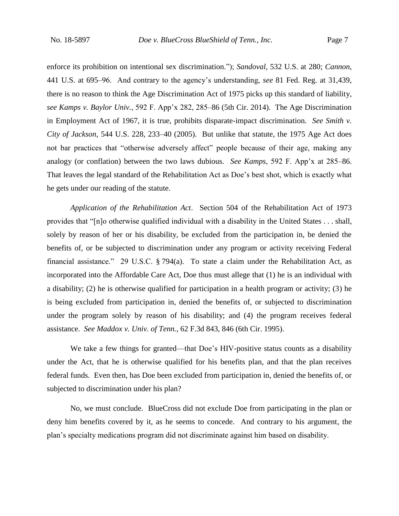enforce its prohibition on intentional sex discrimination."); *Sandoval*, 532 U.S. at 280; *Cannon*, 441 U.S. at 695–96. And contrary to the agency's understanding, *see* 81 Fed. Reg. at 31,439, there is no reason to think the Age Discrimination Act of 1975 picks up this standard of liability, *see Kamps v. Baylor Univ.*, 592 F. App'x 282, 285–86 (5th Cir. 2014). The Age Discrimination in Employment Act of 1967, it is true, prohibits disparate-impact discrimination. *See Smith v. City of Jackson*, 544 U.S. 228, 233–40 (2005). But unlike that statute, the 1975 Age Act does not bar practices that "otherwise adversely affect" people because of their age, making any analogy (or conflation) between the two laws dubious. *See Kamps*, 592 F. App'x at 285–86. That leaves the legal standard of the Rehabilitation Act as Doe's best shot, which is exactly what he gets under our reading of the statute.

*Application of the Rehabilitation Act*. Section 504 of the Rehabilitation Act of 1973 provides that "[n]o otherwise qualified individual with a disability in the United States . . . shall, solely by reason of her or his disability, be excluded from the participation in, be denied the benefits of, or be subjected to discrimination under any program or activity receiving Federal financial assistance." 29 U.S.C. § 794(a). To state a claim under the Rehabilitation Act, as incorporated into the Affordable Care Act, Doe thus must allege that (1) he is an individual with a disability; (2) he is otherwise qualified for participation in a health program or activity; (3) he is being excluded from participation in, denied the benefits of, or subjected to discrimination under the program solely by reason of his disability; and (4) the program receives federal assistance. *See Maddox v. Univ. of Tenn.*, 62 F.3d 843, 846 (6th Cir. 1995).

We take a few things for granted—that Doe's HIV-positive status counts as a disability under the Act, that he is otherwise qualified for his benefits plan, and that the plan receives federal funds. Even then, has Doe been excluded from participation in, denied the benefits of, or subjected to discrimination under his plan?

No, we must conclude. BlueCross did not exclude Doe from participating in the plan or deny him benefits covered by it, as he seems to concede. And contrary to his argument, the plan's specialty medications program did not discriminate against him based on disability.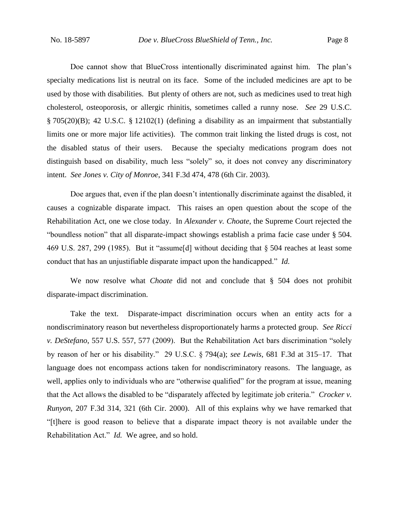Doe cannot show that BlueCross intentionally discriminated against him. The plan's specialty medications list is neutral on its face. Some of the included medicines are apt to be used by those with disabilities. But plenty of others are not, such as medicines used to treat high cholesterol, osteoporosis, or allergic rhinitis, sometimes called a runny nose. *See* 29 U.S.C. § 705(20)(B); 42 U.S.C. § 12102(1) (defining a disability as an impairment that substantially limits one or more major life activities). The common trait linking the listed drugs is cost, not the disabled status of their users. Because the specialty medications program does not distinguish based on disability, much less "solely" so, it does not convey any discriminatory intent. *See Jones v. City of Monroe*, 341 F.3d 474, 478 (6th Cir. 2003).

Doe argues that, even if the plan doesn't intentionally discriminate against the disabled, it causes a cognizable disparate impact. This raises an open question about the scope of the Rehabilitation Act, one we close today. In *Alexander v. Choate*, the Supreme Court rejected the "boundless notion" that all disparate-impact showings establish a prima facie case under § 504. 469 U.S. 287, 299 (1985). But it "assume[d] without deciding that § 504 reaches at least some conduct that has an unjustifiable disparate impact upon the handicapped." *Id.*

We now resolve what *Choate* did not and conclude that § 504 does not prohibit disparate-impact discrimination.

Take the text. Disparate-impact discrimination occurs when an entity acts for a nondiscriminatory reason but nevertheless disproportionately harms a protected group. *See Ricci v. DeStefano*, 557 U.S. 557, 577 (2009). But the Rehabilitation Act bars discrimination "solely by reason of her or his disability." 29 U.S.C. § 794(a); *see Lewis*, 681 F.3d at 315–17. That language does not encompass actions taken for nondiscriminatory reasons. The language, as well, applies only to individuals who are "otherwise qualified" for the program at issue, meaning that the Act allows the disabled to be "disparately affected by legitimate job criteria." *Crocker v. Runyon*, 207 F.3d 314, 321 (6th Cir. 2000). All of this explains why we have remarked that "[t]here is good reason to believe that a disparate impact theory is not available under the Rehabilitation Act." *Id.* We agree, and so hold.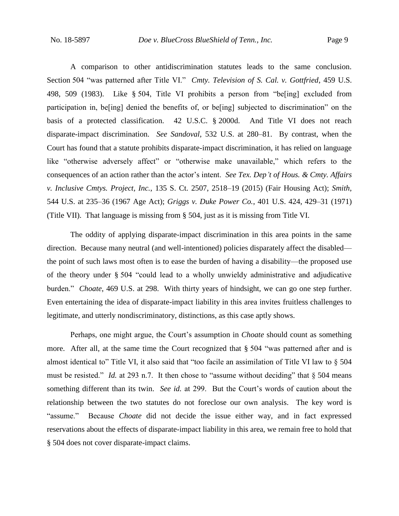A comparison to other antidiscrimination statutes leads to the same conclusion. Section 504 "was patterned after Title VI." *Cmty. Television of S. Cal. v. Gottfried*, 459 U.S. 498, 509 (1983). Like § 504, Title VI prohibits a person from "be[ing] excluded from participation in, be[ing] denied the benefits of, or be[ing] subjected to discrimination" on the basis of a protected classification. 42 U.S.C. § 2000d. And Title VI does not reach disparate-impact discrimination. *See Sandoval*, 532 U.S. at 280–81. By contrast, when the Court has found that a statute prohibits disparate-impact discrimination, it has relied on language like "otherwise adversely affect" or "otherwise make unavailable," which refers to the consequences of an action rather than the actor's intent. *See Tex. Dep't of Hous. & Cmty. Affairs v. Inclusive Cmtys. Project, Inc.*, 135 S. Ct. 2507, 2518–19 (2015) (Fair Housing Act); *Smith*, 544 U.S. at 235–36 (1967 Age Act); *Griggs v. Duke Power Co.*, 401 U.S. 424, 429–31 (1971) (Title VII). That language is missing from § 504, just as it is missing from Title VI.

The oddity of applying disparate-impact discrimination in this area points in the same direction. Because many neutral (and well-intentioned) policies disparately affect the disabled the point of such laws most often is to ease the burden of having a disability—the proposed use of the theory under § 504 "could lead to a wholly unwieldy administrative and adjudicative burden." *Choate*, 469 U.S. at 298. With thirty years of hindsight, we can go one step further. Even entertaining the idea of disparate-impact liability in this area invites fruitless challenges to legitimate, and utterly nondiscriminatory, distinctions, as this case aptly shows.

Perhaps, one might argue, the Court's assumption in *Choate* should count as something more. After all, at the same time the Court recognized that § 504 "was patterned after and is almost identical to" Title VI, it also said that "too facile an assimilation of Title VI law to § 504 must be resisted." *Id.* at 293 n.7. It then chose to "assume without deciding" that § 504 means something different than its twin. *See id.* at 299. But the Court's words of caution about the relationship between the two statutes do not foreclose our own analysis. The key word is "assume." Because *Choate* did not decide the issue either way, and in fact expressed reservations about the effects of disparate-impact liability in this area, we remain free to hold that § 504 does not cover disparate-impact claims.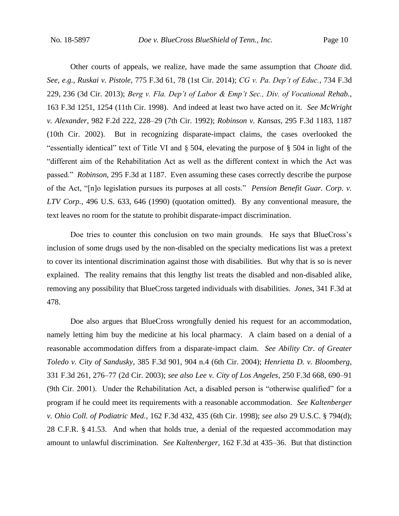Other courts of appeals, we realize, have made the same assumption that *Choate* did. *See, e.g.*, *Ruskai v. Pistole*, 775 F.3d 61, 78 (1st Cir. 2014); *CG v. Pa. Dep't of Educ.*, 734 F.3d 229, 236 (3d Cir. 2013); *Berg v. Fla. Dep't of Labor & Emp't Sec., Div. of Vocational Rehab.*, 163 F.3d 1251, 1254 (11th Cir. 1998). And indeed at least two have acted on it. *See McWright v. Alexander*, 982 F.2d 222, 228–29 (7th Cir. 1992); *Robinson v. Kansas*, 295 F.3d 1183, 1187 (10th Cir. 2002). But in recognizing disparate-impact claims, the cases overlooked the "essentially identical" text of Title VI and § 504, elevating the purpose of § 504 in light of the "different aim of the Rehabilitation Act as well as the different context in which the Act was passed." *Robinson*, 295 F.3d at 1187. Even assuming these cases correctly describe the purpose of the Act, "[n]o legislation pursues its purposes at all costs." *Pension Benefit Guar. Corp. v. LTV Corp.*, 496 U.S. 633, 646 (1990) (quotation omitted). By any conventional measure, the text leaves no room for the statute to prohibit disparate-impact discrimination.

Doe tries to counter this conclusion on two main grounds. He says that BlueCross's inclusion of some drugs used by the non-disabled on the specialty medications list was a pretext to cover its intentional discrimination against those with disabilities. But why that is so is never explained. The reality remains that this lengthy list treats the disabled and non-disabled alike, removing any possibility that BlueCross targeted individuals with disabilities. *Jones*, 341 F.3d at 478.

Doe also argues that BlueCross wrongfully denied his request for an accommodation, namely letting him buy the medicine at his local pharmacy. A claim based on a denial of a reasonable accommodation differs from a disparate-impact claim. *See Ability Ctr. of Greater Toledo v. City of Sandusky*, 385 F.3d 901, 904 n.4 (6th Cir. 2004); *Henrietta D. v. Bloomberg*, 331 F.3d 261, 276–77 (2d Cir. 2003); *see also Lee v. City of Los Angeles*, 250 F.3d 668, 690–91 (9th Cir. 2001). Under the Rehabilitation Act, a disabled person is "otherwise qualified" for a program if he could meet its requirements with a reasonable accommodation. *See Kaltenberger v. Ohio Coll. of Podiatric Med.*, 162 F.3d 432, 435 (6th Cir. 1998); *see also* 29 U.S.C. § 794(d); 28 C.F.R. § 41.53. And when that holds true, a denial of the requested accommodation may amount to unlawful discrimination. *See Kaltenberger*, 162 F.3d at 435–36. But that distinction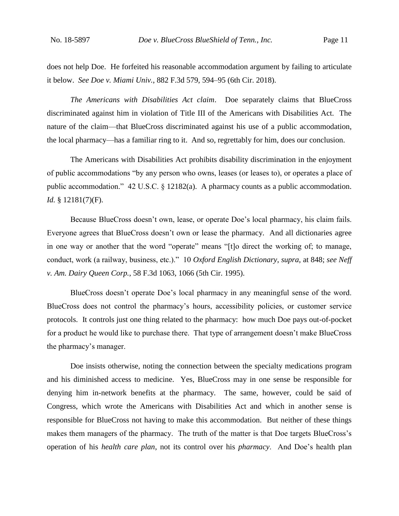does not help Doe. He forfeited his reasonable accommodation argument by failing to articulate it below. *See Doe v. Miami Univ.*, 882 F.3d 579, 594–95 (6th Cir. 2018).

*The Americans with Disabilities Act claim*. Doe separately claims that BlueCross discriminated against him in violation of Title III of the Americans with Disabilities Act. The nature of the claim—that BlueCross discriminated against his use of a public accommodation, the local pharmacy—has a familiar ring to it. And so, regrettably for him, does our conclusion.

The Americans with Disabilities Act prohibits disability discrimination in the enjoyment of public accommodations "by any person who owns, leases (or leases to), or operates a place of public accommodation." 42 U.S.C. § 12182(a). A pharmacy counts as a public accommodation. *Id.* § 12181(7)(F).

Because BlueCross doesn't own, lease, or operate Doe's local pharmacy, his claim fails. Everyone agrees that BlueCross doesn't own or lease the pharmacy. And all dictionaries agree in one way or another that the word "operate" means "[t]o direct the working of; to manage, conduct, work (a railway, business, etc.)." 10 *Oxford English Dictionary*, *supra*, at 848; *see Neff v. Am. Dairy Queen Corp.*, 58 F.3d 1063, 1066 (5th Cir. 1995).

BlueCross doesn't operate Doe's local pharmacy in any meaningful sense of the word. BlueCross does not control the pharmacy's hours, accessibility policies, or customer service protocols. It controls just one thing related to the pharmacy: how much Doe pays out-of-pocket for a product he would like to purchase there. That type of arrangement doesn't make BlueCross the pharmacy's manager.

Doe insists otherwise, noting the connection between the specialty medications program and his diminished access to medicine. Yes, BlueCross may in one sense be responsible for denying him in-network benefits at the pharmacy. The same, however, could be said of Congress, which wrote the Americans with Disabilities Act and which in another sense is responsible for BlueCross not having to make this accommodation. But neither of these things makes them managers of the pharmacy. The truth of the matter is that Doe targets BlueCross's operation of his *health care plan*, not its control over his *pharmacy*. And Doe's health plan